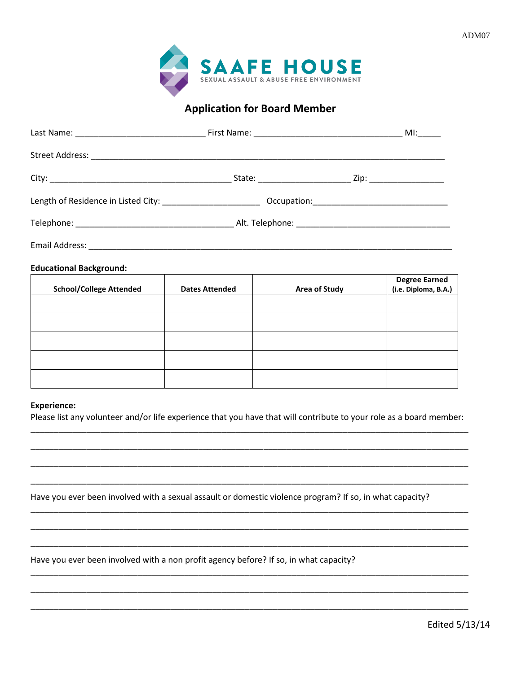



## **Application for Board Member**

| <b>Educational Background:</b> |                       |               |  |                                              |  |
|--------------------------------|-----------------------|---------------|--|----------------------------------------------|--|
| <b>School/College Attended</b> | <b>Dates Attended</b> | Area of Study |  | <b>Degree Earned</b><br>(i.e. Diploma, B.A.) |  |
|                                |                       |               |  |                                              |  |
|                                |                       |               |  |                                              |  |
|                                |                       |               |  |                                              |  |

## **Experience:**

Please list any volunteer and/or life experience that you have that will contribute to your role as a board member:

Have you ever been involved with a sexual assault or domestic violence program? If so, in what capacity?

Have you ever been involved with a non profit agency before? If so, in what capacity?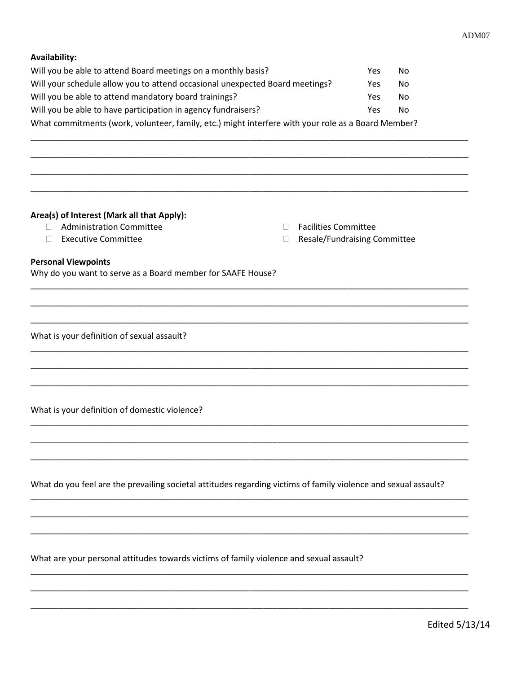| <b>Availability:</b>                                                                                            |                              |           |  |  |  |  |  |
|-----------------------------------------------------------------------------------------------------------------|------------------------------|-----------|--|--|--|--|--|
| Will you be able to attend Board meetings on a monthly basis?                                                   | Yes                          | No        |  |  |  |  |  |
| Will your schedule allow you to attend occasional unexpected Board meetings?                                    | Yes                          | No        |  |  |  |  |  |
| Will you be able to attend mandatory board trainings?                                                           | Yes.                         | <b>No</b> |  |  |  |  |  |
| Will you be able to have participation in agency fundraisers?                                                   | Yes                          | No        |  |  |  |  |  |
| What commitments (work, volunteer, family, etc.) might interfere with your role as a Board Member?              |                              |           |  |  |  |  |  |
|                                                                                                                 |                              |           |  |  |  |  |  |
|                                                                                                                 |                              |           |  |  |  |  |  |
|                                                                                                                 |                              |           |  |  |  |  |  |
|                                                                                                                 |                              |           |  |  |  |  |  |
|                                                                                                                 |                              |           |  |  |  |  |  |
|                                                                                                                 |                              |           |  |  |  |  |  |
| Area(s) of Interest (Mark all that Apply):                                                                      |                              |           |  |  |  |  |  |
| <b>Administration Committee</b><br>П.<br>n.                                                                     | <b>Facilities Committee</b>  |           |  |  |  |  |  |
| <b>Executive Committee</b><br>$\mathbf{L}$<br>⊔                                                                 | Resale/Fundraising Committee |           |  |  |  |  |  |
| <b>Personal Viewpoints</b>                                                                                      |                              |           |  |  |  |  |  |
| Why do you want to serve as a Board member for SAAFE House?                                                     |                              |           |  |  |  |  |  |
|                                                                                                                 |                              |           |  |  |  |  |  |
|                                                                                                                 |                              |           |  |  |  |  |  |
|                                                                                                                 |                              |           |  |  |  |  |  |
|                                                                                                                 |                              |           |  |  |  |  |  |
| What is your definition of sexual assault?                                                                      |                              |           |  |  |  |  |  |
|                                                                                                                 |                              |           |  |  |  |  |  |
|                                                                                                                 |                              |           |  |  |  |  |  |
|                                                                                                                 |                              |           |  |  |  |  |  |
|                                                                                                                 |                              |           |  |  |  |  |  |
| What is your definition of domestic violence?                                                                   |                              |           |  |  |  |  |  |
|                                                                                                                 |                              |           |  |  |  |  |  |
|                                                                                                                 |                              |           |  |  |  |  |  |
|                                                                                                                 |                              |           |  |  |  |  |  |
|                                                                                                                 |                              |           |  |  |  |  |  |
|                                                                                                                 |                              |           |  |  |  |  |  |
| What do you feel are the prevailing societal attitudes regarding victims of family violence and sexual assault? |                              |           |  |  |  |  |  |
|                                                                                                                 |                              |           |  |  |  |  |  |
|                                                                                                                 |                              |           |  |  |  |  |  |
|                                                                                                                 |                              |           |  |  |  |  |  |
|                                                                                                                 |                              |           |  |  |  |  |  |
| What are your personal attitudes towards victims of family violence and sexual assault?                         |                              |           |  |  |  |  |  |
|                                                                                                                 |                              |           |  |  |  |  |  |
|                                                                                                                 |                              |           |  |  |  |  |  |
|                                                                                                                 |                              |           |  |  |  |  |  |